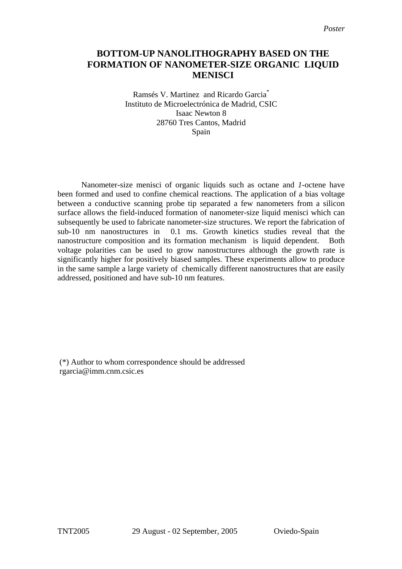## **BOTTOM-UP NANOLITHOGRAPHY BASED ON THE FORMATION OF NANOMETER-SIZE ORGANIC LIQUID MENISCI**

Ramsés V. Martinez and Ricardo Garcia\* Instituto de Microelectrónica de Madrid, CSIC Isaac Newton 8 28760 Tres Cantos, Madrid Spain

Nanometer-size menisci of organic liquids such as octane and *1*-octene have been formed and used to confine chemical reactions. The application of a bias voltage between a conductive scanning probe tip separated a few nanometers from a silicon surface allows the field-induced formation of nanometer-size liquid menisci which can subsequently be used to fabricate nanometer-size structures. We report the fabrication of sub-10 nm nanostructures in 0.1 ms. Growth kinetics studies reveal that the nanostructure composition and its formation mechanism is liquid dependent. Both voltage polarities can be used to grow nanostructures although the growth rate is significantly higher for positively biased samples. These experiments allow to produce in the same sample a large variety of chemically different nanostructures that are easily addressed, positioned and have sub-10 nm features.

 (\*) Author to whom correspondence should be addressed rgarcia@imm.cnm.csic.es